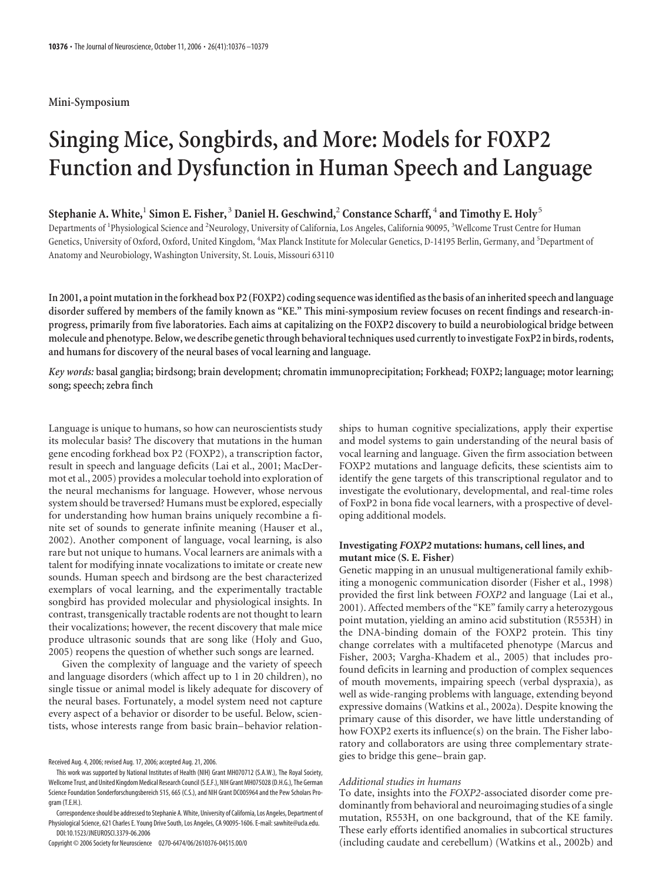## **Mini-Symposium**

# **Singing Mice, Songbirds, and More: Models for FOXP2 Function and Dysfunction in Human Speech and Language**

# $\bf{Stephanie\ A. White,^1 \ Simon\ E. Fisher,^3 \ Daniel \ H. \ Geschwind,^2 \ Constance \ Scharf,^4 \ and \ Timothy \ E. \ Holy^5 \ }$

Departments of <sup>1</sup>Physiological Science and <sup>2</sup>Neurology, University of California, Los Angeles, California 90095, <sup>3</sup>Wellcome Trust Centre for Human Genetics, University of Oxford, Oxford, United Kingdom, <sup>4</sup>Max Planck Institute for Molecular Genetics, D-14195 Berlin, Germany, and <sup>5</sup>Department of Anatomy and Neurobiology, Washington University, St. Louis, Missouri 63110

**In 2001, a point mutation intheforkhead box P2 (FOXP2) coding sequence was identified asthe basis of an inherited speech and language disorder suffered by members of the family known as "KE." This mini-symposium review focuses on recent findings and research-inprogress, primarily from five laboratories. Each aims at capitalizing on the FOXP2 discovery to build a neurobiological bridge between molecule and phenotype. Below, we describe geneticthrough behavioraltechniques used currentlyto investigate FoxP2 in birds, rodents, and humans for discovery of the neural bases of vocal learning and language.**

*Key words:* **basal ganglia; birdsong; brain development; chromatin immunoprecipitation; Forkhead; FOXP2; language; motor learning; song; speech; zebra finch**

Language is unique to humans, so how can neuroscientists study its molecular basis? The discovery that mutations in the human gene encoding forkhead box P2 (FOXP2), a transcription factor, result in speech and language deficits (Lai et al., 2001; MacDermot et al., 2005) provides a molecular toehold into exploration of the neural mechanisms for language. However, whose nervous system should be traversed? Humans must be explored, especially for understanding how human brains uniquely recombine a finite set of sounds to generate infinite meaning (Hauser et al., 2002). Another component of language, vocal learning, is also rare but not unique to humans. Vocal learners are animals with a talent for modifying innate vocalizations to imitate or create new sounds. Human speech and birdsong are the best characterized exemplars of vocal learning, and the experimentally tractable songbird has provided molecular and physiological insights. In contrast, transgenically tractable rodents are not thought to learn their vocalizations; however, the recent discovery that male mice produce ultrasonic sounds that are song like (Holy and Guo, 2005) reopens the question of whether such songs are learned.

Given the complexity of language and the variety of speech and language disorders (which affect up to 1 in 20 children), no single tissue or animal model is likely adequate for discovery of the neural bases. Fortunately, a model system need not capture every aspect of a behavior or disorder to be useful. Below, scientists, whose interests range from basic brain– behavior relation-

Copyright © 2006 Society for Neuroscience 0270-6474/06/2610376-04\$15.00/0

ships to human cognitive specializations, apply their expertise and model systems to gain understanding of the neural basis of vocal learning and language. Given the firm association between FOXP2 mutations and language deficits, these scientists aim to identify the gene targets of this transcriptional regulator and to investigate the evolutionary, developmental, and real-time roles of FoxP2 in bona fide vocal learners, with a prospective of developing additional models.

### **Investigating** *FOXP2* **mutations: humans, cell lines, and mutant mice (S. E. Fisher)**

Genetic mapping in an unusual multigenerational family exhibiting a monogenic communication disorder (Fisher et al., 1998) provided the first link between *FOXP2* and language (Lai et al., 2001). Affected members of the "KE" family carry a heterozygous point mutation, yielding an amino acid substitution (R553H) in the DNA-binding domain of the FOXP2 protein. This tiny change correlates with a multifaceted phenotype (Marcus and Fisher, 2003; Vargha-Khadem et al., 2005) that includes profound deficits in learning and production of complex sequences of mouth movements, impairing speech (verbal dyspraxia), as well as wide-ranging problems with language, extending beyond expressive domains (Watkins et al., 2002a). Despite knowing the primary cause of this disorder, we have little understanding of how FOXP2 exerts its influence(s) on the brain. The Fisher laboratory and collaborators are using three complementary strategies to bridge this gene– brain gap.

#### *Additional studies in humans*

To date, insights into the *FOXP2*-associated disorder come predominantly from behavioral and neuroimaging studies of a single mutation, R553H, on one background, that of the KE family. These early efforts identified anomalies in subcortical structures (including caudate and cerebellum) (Watkins et al., 2002b) and

Received Aug. 4, 2006; revised Aug. 17, 2006; accepted Aug. 21, 2006.

This work was supported by National Institutes of Health (NIH) Grant MH070712 (S.A.W.), The Royal Society, Wellcome Trust, and United Kingdom Medical Research Council (S.E.F.), NIH Grant MH075028 (D.H.G.), The German Science Foundation Sonderforschungsbereich 515, 665 (C.S.), and NIH Grant DC005964 and the Pew Scholars Program (T.E.H.).

Correspondenceshould be addressedto Stephanie A.White, University of California, Los Angeles, Department of Physiological Science, 621 Charles E. Young Drive South, Los Angeles, CA 90095-1606. E-mail: sawhite@ucla.edu. DOI:10.1523/JNEUROSCI.3379-06.2006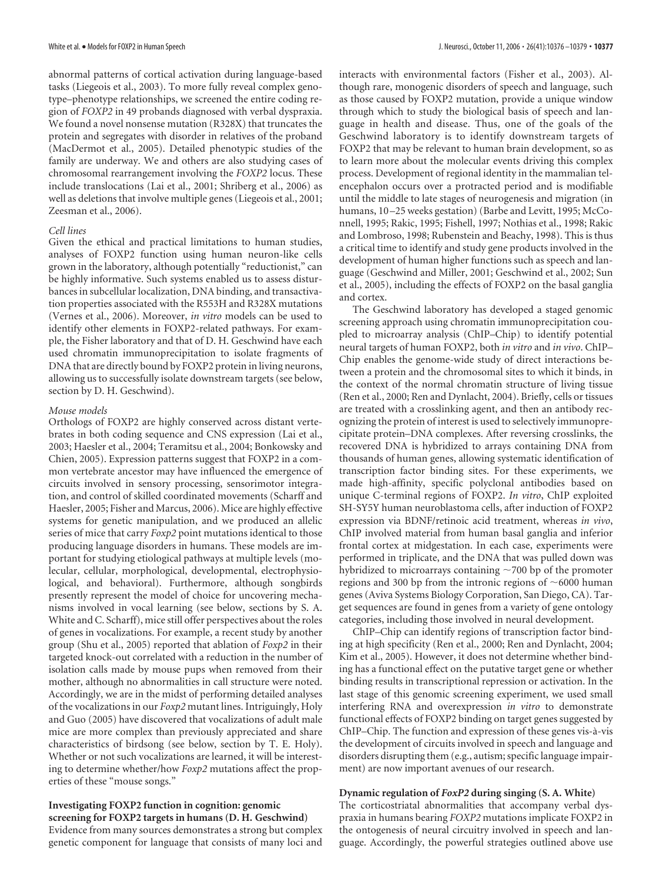abnormal patterns of cortical activation during language-based tasks (Liegeois et al., 2003). To more fully reveal complex genotype–phenotype relationships, we screened the entire coding region of *FOXP2* in 49 probands diagnosed with verbal dyspraxia. We found a novel nonsense mutation (R328X) that truncates the protein and segregates with disorder in relatives of the proband (MacDermot et al., 2005). Detailed phenotypic studies of the family are underway. We and others are also studying cases of chromosomal rearrangement involving the *FOXP2* locus. These include translocations (Lai et al., 2001; Shriberg et al., 2006) as well as deletions that involve multiple genes (Liegeois et al., 2001; Zeesman et al., 2006).

### *Cell lines*

Given the ethical and practical limitations to human studies, analyses of FOXP2 function using human neuron-like cells grown in the laboratory, although potentially "reductionist," can be highly informative. Such systems enabled us to assess disturbances in subcellular localization, DNA binding, and transactivation properties associated with the R553H and R328X mutations (Vernes et al., 2006). Moreover, *in vitro* models can be used to identify other elements in FOXP2-related pathways. For example, the Fisher laboratory and that of D. H. Geschwind have each used chromatin immunoprecipitation to isolate fragments of DNA that are directly bound by FOXP2 protein in living neurons, allowing us to successfully isolate downstream targets (see below, section by D. H. Geschwind).

### *Mouse models*

Orthologs of FOXP2 are highly conserved across distant vertebrates in both coding sequence and CNS expression (Lai et al., 2003; Haesler et al., 2004; Teramitsu et al., 2004; Bonkowsky and Chien, 2005). Expression patterns suggest that FOXP2 in a common vertebrate ancestor may have influenced the emergence of circuits involved in sensory processing, sensorimotor integration, and control of skilled coordinated movements (Scharff and Haesler, 2005; Fisher and Marcus, 2006). Mice are highly effective systems for genetic manipulation, and we produced an allelic series of mice that carry *Foxp2* point mutations identical to those producing language disorders in humans. These models are important for studying etiological pathways at multiple levels (molecular, cellular, morphological, developmental, electrophysiological, and behavioral). Furthermore, although songbirds presently represent the model of choice for uncovering mechanisms involved in vocal learning (see below, sections by S. A. White and C. Scharff), mice still offer perspectives about the roles of genes in vocalizations. For example, a recent study by another group (Shu et al., 2005) reported that ablation of *Foxp2* in their targeted knock-out correlated with a reduction in the number of isolation calls made by mouse pups when removed from their mother, although no abnormalities in call structure were noted. Accordingly, we are in the midst of performing detailed analyses of the vocalizations in our *Foxp2* mutant lines. Intriguingly, Holy and Guo (2005) have discovered that vocalizations of adult male mice are more complex than previously appreciated and share characteristics of birdsong (see below, section by T. E. Holy). Whether or not such vocalizations are learned, it will be interesting to determine whether/how *Foxp2* mutations affect the properties of these "mouse songs."

# **Investigating FOXP2 function in cognition: genomic screening for FOXP2 targets in humans (D. H. Geschwind)**

Evidence from many sources demonstrates a strong but complex genetic component for language that consists of many loci and

interacts with environmental factors (Fisher et al., 2003). Although rare, monogenic disorders of speech and language, such as those caused by FOXP2 mutation, provide a unique window through which to study the biological basis of speech and language in health and disease. Thus, one of the goals of the Geschwind laboratory is to identify downstream targets of FOXP2 that may be relevant to human brain development, so as to learn more about the molecular events driving this complex process. Development of regional identity in the mammalian telencephalon occurs over a protracted period and is modifiable until the middle to late stages of neurogenesis and migration (in humans, 10-25 weeks gestation) (Barbe and Levitt, 1995; McConnell, 1995; Rakic, 1995; Fishell, 1997; Nothias et al., 1998; Rakic and Lombroso, 1998; Rubenstein and Beachy, 1998). This is thus a critical time to identify and study gene products involved in the development of human higher functions such as speech and language (Geschwind and Miller, 2001; Geschwind et al., 2002; Sun et al., 2005), including the effects of FOXP2 on the basal ganglia and cortex.

The Geschwind laboratory has developed a staged genomic screening approach using chromatin immunoprecipitation coupled to microarray analysis (ChIP–Chip) to identify potential neural targets of human FOXP2, both *in vitro* and *in vivo*. ChIP– Chip enables the genome-wide study of direct interactions between a protein and the chromosomal sites to which it binds, in the context of the normal chromatin structure of living tissue (Ren et al., 2000; Ren and Dynlacht, 2004). Briefly, cells or tissues are treated with a crosslinking agent, and then an antibody recognizing the protein of interest is used to selectively immunoprecipitate protein–DNA complexes. After reversing crosslinks, the recovered DNA is hybridized to arrays containing DNA from thousands of human genes, allowing systematic identification of transcription factor binding sites. For these experiments, we made high-affinity, specific polyclonal antibodies based on unique C-terminal regions of FOXP2. *In vitro*, ChIP exploited SH-SY5Y human neuroblastoma cells, after induction of FOXP2 expression via BDNF/retinoic acid treatment, whereas *in vivo*, ChIP involved material from human basal ganglia and inferior frontal cortex at midgestation. In each case, experiments were performed in triplicate, and the DNA that was pulled down was hybridized to microarrays containing  $\sim$  700 bp of the promoter regions and 300 bp from the intronic regions of  $~6000$  human genes (Aviva Systems Biology Corporation, San Diego, CA). Target sequences are found in genes from a variety of gene ontology categories, including those involved in neural development.

ChIP–Chip can identify regions of transcription factor binding at high specificity (Ren et al., 2000; Ren and Dynlacht, 2004; Kim et al., 2005). However, it does not determine whether binding has a functional effect on the putative target gene or whether binding results in transcriptional repression or activation. In the last stage of this genomic screening experiment, we used small interfering RNA and overexpression *in vitro* to demonstrate functional effects of FOXP2 binding on target genes suggested by ChIP–Chip. The function and expression of these genes vis-a`-vis the development of circuits involved in speech and language and disorders disrupting them (e.g., autism; specific language impairment) are now important avenues of our research.

### **Dynamic regulation of** *FoxP2* **during singing (S. A. White)**

The corticostriatal abnormalities that accompany verbal dyspraxia in humans bearing *FOXP2* mutations implicate FOXP2 in the ontogenesis of neural circuitry involved in speech and language. Accordingly, the powerful strategies outlined above use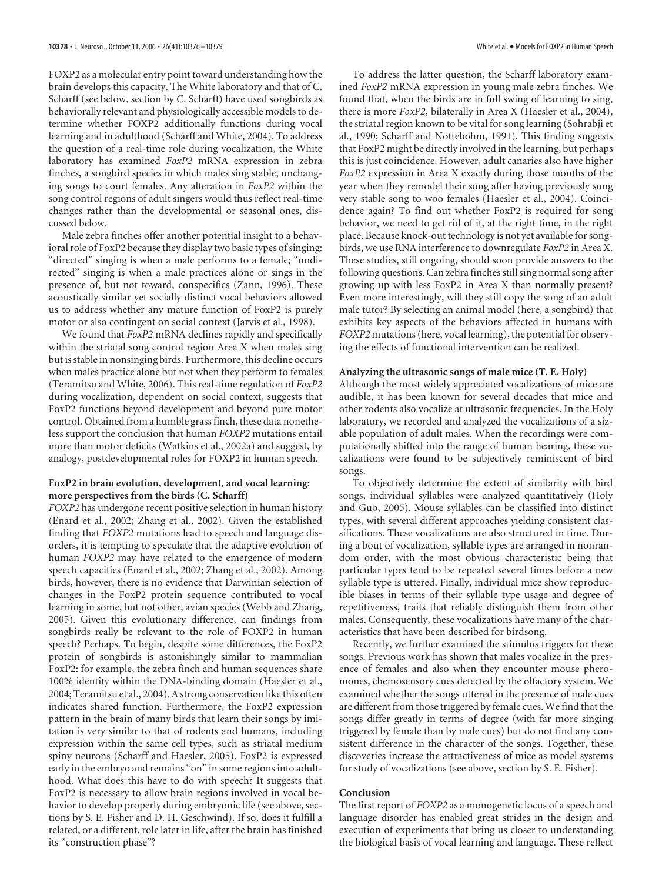FOXP2 as a molecular entry point toward understanding how the brain develops this capacity. The White laboratory and that of C. Scharff (see below, section by C. Scharff) have used songbirds as behaviorally relevant and physiologically accessible models to determine whether FOXP2 additionally functions during vocal learning and in adulthood (Scharff and White, 2004). To address the question of a real-time role during vocalization, the White laboratory has examined *FoxP2* mRNA expression in zebra finches, a songbird species in which males sing stable, unchanging songs to court females. Any alteration in *FoxP2* within the song control regions of adult singers would thus reflect real-time changes rather than the developmental or seasonal ones, discussed below.

Male zebra finches offer another potential insight to a behavioral role of FoxP2 because they display two basic types of singing: "directed" singing is when a male performs to a female; "undirected" singing is when a male practices alone or sings in the presence of, but not toward, conspecifics (Zann, 1996). These acoustically similar yet socially distinct vocal behaviors allowed us to address whether any mature function of FoxP2 is purely motor or also contingent on social context (Jarvis et al., 1998).

We found that *FoxP2* mRNA declines rapidly and specifically within the striatal song control region Area X when males sing but is stable in nonsinging birds. Furthermore, this decline occurs when males practice alone but not when they perform to females (Teramitsu and White, 2006). This real-time regulation of *FoxP2* during vocalization, dependent on social context, suggests that FoxP2 functions beyond development and beyond pure motor control. Obtained from a humble grass finch, these data nonetheless support the conclusion that human *FOXP2* mutations entail more than motor deficits (Watkins et al., 2002a) and suggest, by analogy, postdevelopmental roles for FOXP2 in human speech.

# **FoxP2 in brain evolution, development, and vocal learning: more perspectives from the birds (C. Scharff)**

*FOXP2* has undergone recent positive selection in human history (Enard et al., 2002; Zhang et al., 2002). Given the established finding that *FOXP2* mutations lead to speech and language disorders, it is tempting to speculate that the adaptive evolution of human *FOXP2* may have related to the emergence of modern speech capacities (Enard et al., 2002; Zhang et al., 2002). Among birds, however, there is no evidence that Darwinian selection of changes in the FoxP2 protein sequence contributed to vocal learning in some, but not other, avian species (Webb and Zhang, 2005). Given this evolutionary difference, can findings from songbirds really be relevant to the role of FOXP2 in human speech? Perhaps. To begin, despite some differences, the FoxP2 protein of songbirds is astonishingly similar to mammalian FoxP2: for example, the zebra finch and human sequences share 100% identity within the DNA-binding domain (Haesler et al., 2004; Teramitsu et al., 2004). A strong conservation like this often indicates shared function. Furthermore, the FoxP2 expression pattern in the brain of many birds that learn their songs by imitation is very similar to that of rodents and humans, including expression within the same cell types, such as striatal medium spiny neurons (Scharff and Haesler, 2005). FoxP2 is expressed early in the embryo and remains "on" in some regions into adulthood. What does this have to do with speech? It suggests that FoxP2 is necessary to allow brain regions involved in vocal behavior to develop properly during embryonic life (see above, sections by S. E. Fisher and D. H. Geschwind). If so, does it fulfill a related, or a different, role later in life, after the brain has finished its "construction phase"?

To address the latter question, the Scharff laboratory examined *FoxP2* mRNA expression in young male zebra finches. We found that, when the birds are in full swing of learning to sing, there is more *FoxP2*, bilaterally in Area X (Haesler et al., 2004), the striatal region known to be vital for song learning (Sohrabji et al., 1990; Scharff and Nottebohm, 1991). This finding suggests that FoxP2 might be directly involved in the learning, but perhaps this is just coincidence. However, adult canaries also have higher *FoxP2* expression in Area X exactly during those months of the year when they remodel their song after having previously sung very stable song to woo females (Haesler et al., 2004). Coincidence again? To find out whether FoxP2 is required for song behavior, we need to get rid of it, at the right time, in the right place. Because knock-out technology is not yet available for songbirds, we use RNA interference to downregulate *FoxP2* in Area X. These studies, still ongoing, should soon provide answers to the following questions. Can zebra finches still sing normal song after growing up with less FoxP2 in Area X than normally present? Even more interestingly, will they still copy the song of an adult male tutor? By selecting an animal model (here, a songbird) that exhibits key aspects of the behaviors affected in humans with *FOXP2* mutations (here, vocal learning), the potential for observing the effects of functional intervention can be realized.

### **Analyzing the ultrasonic songs of male mice (T. E. Holy)**

Although the most widely appreciated vocalizations of mice are audible, it has been known for several decades that mice and other rodents also vocalize at ultrasonic frequencies. In the Holy laboratory, we recorded and analyzed the vocalizations of a sizable population of adult males. When the recordings were computationally shifted into the range of human hearing, these vocalizations were found to be subjectively reminiscent of bird songs.

To objectively determine the extent of similarity with bird songs, individual syllables were analyzed quantitatively (Holy and Guo, 2005). Mouse syllables can be classified into distinct types, with several different approaches yielding consistent classifications. These vocalizations are also structured in time. During a bout of vocalization, syllable types are arranged in nonrandom order, with the most obvious characteristic being that particular types tend to be repeated several times before a new syllable type is uttered. Finally, individual mice show reproducible biases in terms of their syllable type usage and degree of repetitiveness, traits that reliably distinguish them from other males. Consequently, these vocalizations have many of the characteristics that have been described for birdsong.

Recently, we further examined the stimulus triggers for these songs. Previous work has shown that males vocalize in the presence of females and also when they encounter mouse pheromones, chemosensory cues detected by the olfactory system. We examined whether the songs uttered in the presence of male cues are different from those triggered by female cues. We find that the songs differ greatly in terms of degree (with far more singing triggered by female than by male cues) but do not find any consistent difference in the character of the songs. Together, these discoveries increase the attractiveness of mice as model systems for study of vocalizations (see above, section by S. E. Fisher).

### **Conclusion**

The first report of *FOXP2* as a monogenetic locus of a speech and language disorder has enabled great strides in the design and execution of experiments that bring us closer to understanding the biological basis of vocal learning and language. These reflect